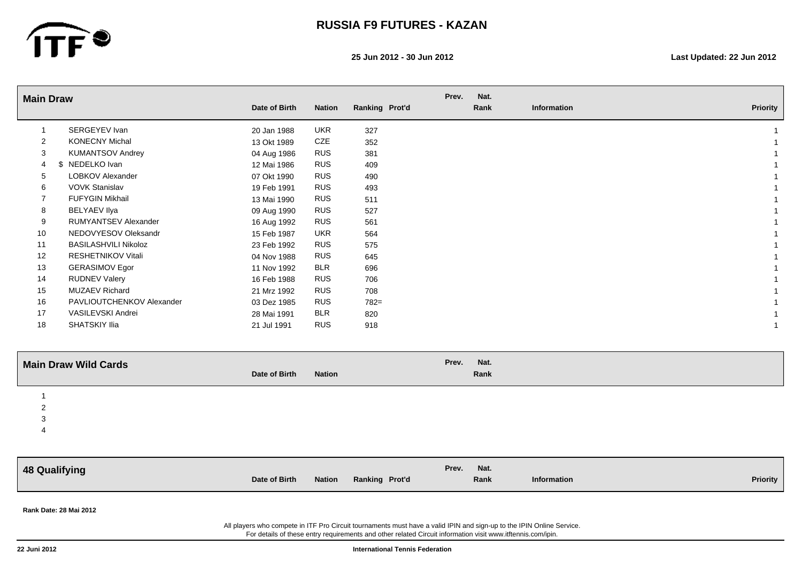

**25 Jun 2012 - 30 Jun 2012 Last Updated: 22 Jun 2012**

| <b>Main Draw</b>          |                             |               |               |                | Prev. | Nat. |             |                 |
|---------------------------|-----------------------------|---------------|---------------|----------------|-------|------|-------------|-----------------|
|                           |                             | Date of Birth | <b>Nation</b> | Ranking Prot'd |       | Rank | Information | <b>Priority</b> |
| $\overline{1}$            | SERGEYEV Ivan               | 20 Jan 1988   | <b>UKR</b>    | 327            |       |      |             |                 |
| $\overline{2}$            | <b>KONECNY Michal</b>       | 13 Okt 1989   | CZE           | 352            |       |      |             |                 |
| 3                         | <b>KUMANTSOV Andrey</b>     | 04 Aug 1986   | <b>RUS</b>    | 381            |       |      |             |                 |
| $\overline{4}$            | \$ NEDELKO Ivan             | 12 Mai 1986   | <b>RUS</b>    | 409            |       |      |             |                 |
| 5                         | LOBKOV Alexander            | 07 Okt 1990   | <b>RUS</b>    | 490            |       |      |             |                 |
| 6                         | <b>VOVK Stanislav</b>       | 19 Feb 1991   | <b>RUS</b>    | 493            |       |      |             |                 |
| $\overline{7}$            | FUFYGIN Mikhail             | 13 Mai 1990   | <b>RUS</b>    | 511            |       |      |             |                 |
| 8                         | <b>BELYAEV Ilya</b>         | 09 Aug 1990   | <b>RUS</b>    | 527            |       |      |             |                 |
| 9                         | <b>RUMYANTSEV Alexander</b> | 16 Aug 1992   | <b>RUS</b>    | 561            |       |      |             |                 |
| 10                        | NEDOVYESOV Oleksandr        | 15 Feb 1987   | <b>UKR</b>    | 564            |       |      |             |                 |
| 11                        | <b>BASILASHVILI Nikoloz</b> | 23 Feb 1992   | <b>RUS</b>    | 575            |       |      |             |                 |
| 12                        | RESHETNIKOV Vitali          | 04 Nov 1988   | <b>RUS</b>    | 645            |       |      |             |                 |
| 13                        | <b>GERASIMOV Egor</b>       | 11 Nov 1992   | <b>BLR</b>    | 696            |       |      |             |                 |
| 14                        | <b>RUDNEV Valery</b>        | 16 Feb 1988   | <b>RUS</b>    | 706            |       |      |             |                 |
| 15                        | <b>MUZAEV Richard</b>       | 21 Mrz 1992   | <b>RUS</b>    | 708            |       |      |             |                 |
| 16                        | PAVLIOUTCHENKOV Alexander   | 03 Dez 1985   | <b>RUS</b>    | 782=           |       |      |             |                 |
| 17                        | VASILEVSKI Andrei           | 28 Mai 1991   | BLR           | 820            |       |      |             |                 |
| 18                        | SHATSKIY Ilia               | 21 Jul 1991   | <b>RUS</b>    | 918            |       |      |             |                 |
|                           | <b>Main Draw Wild Cards</b> |               |               |                | Prev. | Nat. |             |                 |
|                           |                             | Date of Birth | <b>Nation</b> |                |       | Rank |             |                 |
| -1                        |                             |               |               |                |       |      |             |                 |
| $\sqrt{2}$                |                             |               |               |                |       |      |             |                 |
| $\ensuremath{\mathsf{3}}$ |                             |               |               |                |       |      |             |                 |
| $\overline{4}$            |                             |               |               |                |       |      |             |                 |
|                           |                             |               |               |                |       |      |             |                 |
|                           | <b>48 Qualifying</b>        |               |               |                | Prev. | Nat. |             |                 |
|                           |                             | Date of Birth | <b>Nation</b> | Ranking Prot'd |       | Rank | Information | <b>Priority</b> |
|                           |                             |               |               |                |       |      |             |                 |
|                           | Rank Date: 28 Mai 2012      |               |               |                |       |      |             |                 |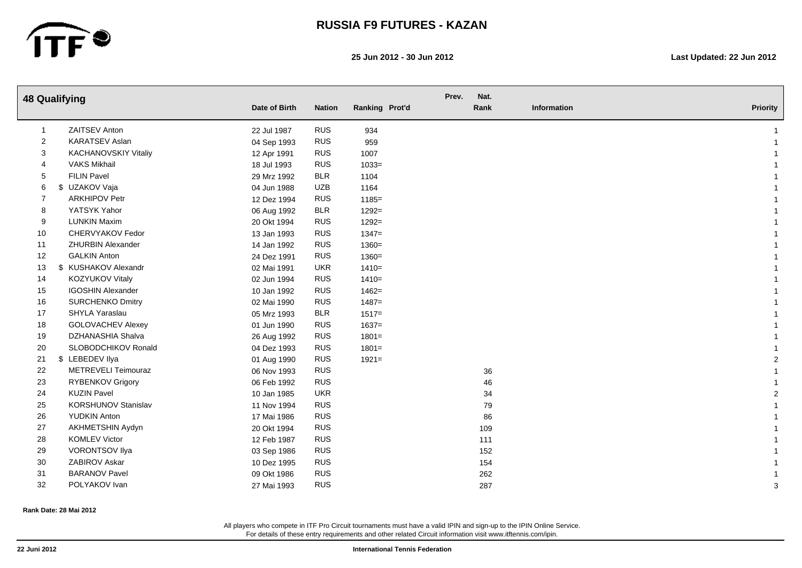

#### **25 Jun 2012 - 30 Jun 2012 Last Updated: 22 Jun 2012**

| <b>48 Qualifying</b> |    |                             | Date of Birth | <b>Nation</b> | Ranking Prot'd | Prev. | Nat.<br>Rank | Information | <b>Priority</b> |
|----------------------|----|-----------------------------|---------------|---------------|----------------|-------|--------------|-------------|-----------------|
|                      |    |                             |               |               |                |       |              |             |                 |
| -1                   |    | ZAITSEV Anton               | 22 Jul 1987   | <b>RUS</b>    | 934            |       |              |             |                 |
| $\overline{2}$       |    | <b>KARATSEV Aslan</b>       | 04 Sep 1993   | <b>RUS</b>    | 959            |       |              |             |                 |
| 3                    |    | <b>KACHANOVSKIY Vitaliy</b> | 12 Apr 1991   | <b>RUS</b>    | 1007           |       |              |             |                 |
| 4                    |    | <b>VAKS Mikhail</b>         | 18 Jul 1993   | <b>RUS</b>    | $1033=$        |       |              |             |                 |
| 5                    |    | <b>FILIN Pavel</b>          | 29 Mrz 1992   | <b>BLR</b>    | 1104           |       |              |             |                 |
| 6                    | \$ | UZAKOV Vaja                 | 04 Jun 1988   | UZB           | 1164           |       |              |             |                 |
| 7                    |    | <b>ARKHIPOV Petr</b>        | 12 Dez 1994   | <b>RUS</b>    | $1185 =$       |       |              |             |                 |
| 8                    |    | YATSYK Yahor                | 06 Aug 1992   | <b>BLR</b>    | $1292 =$       |       |              |             |                 |
| 9                    |    | <b>LUNKIN Maxim</b>         | 20 Okt 1994   | <b>RUS</b>    | $1292 =$       |       |              |             |                 |
| 10                   |    | CHERVYAKOV Fedor            | 13 Jan 1993   | <b>RUS</b>    | $1347=$        |       |              |             |                 |
| 11                   |    | <b>ZHURBIN Alexander</b>    | 14 Jan 1992   | <b>RUS</b>    | $1360=$        |       |              |             |                 |
| 12                   |    | <b>GALKIN Anton</b>         | 24 Dez 1991   | <b>RUS</b>    | $1360=$        |       |              |             |                 |
| 13                   |    | \$ KUSHAKOV Alexandr        | 02 Mai 1991   | <b>UKR</b>    | $1410=$        |       |              |             |                 |
| 14                   |    | KOZYUKOV Vitaly             | 02 Jun 1994   | <b>RUS</b>    | $1410=$        |       |              |             |                 |
| 15                   |    | <b>IGOSHIN Alexander</b>    | 10 Jan 1992   | <b>RUS</b>    | $1462 =$       |       |              |             |                 |
| 16                   |    | <b>SURCHENKO Dmitry</b>     | 02 Mai 1990   | <b>RUS</b>    | $1487 =$       |       |              |             |                 |
| 17                   |    | SHYLA Yaraslau              | 05 Mrz 1993   | <b>BLR</b>    | $1517=$        |       |              |             |                 |
| 18                   |    | <b>GOLOVACHEV Alexey</b>    | 01 Jun 1990   | <b>RUS</b>    | $1637=$        |       |              |             |                 |
| 19                   |    | DZHANASHIA Shalva           | 26 Aug 1992   | <b>RUS</b>    | $1801 =$       |       |              |             |                 |
| 20                   |    | SLOBODCHIKOV Ronald         | 04 Dez 1993   | <b>RUS</b>    | $1801 =$       |       |              |             |                 |
| 21                   |    | \$ LEBEDEV llya             | 01 Aug 1990   | <b>RUS</b>    | $1921 =$       |       |              |             | $\overline{2}$  |
| 22                   |    | METREVELI Teimouraz         | 06 Nov 1993   | <b>RUS</b>    |                |       | 36           |             |                 |
| 23                   |    | RYBENKOV Grigory            | 06 Feb 1992   | <b>RUS</b>    |                |       | 46           |             |                 |
| 24                   |    | <b>KUZIN Pavel</b>          | 10 Jan 1985   | <b>UKR</b>    |                |       | 34           |             | $\overline{2}$  |
| 25                   |    | <b>KORSHUNOV Stanislav</b>  | 11 Nov 1994   | <b>RUS</b>    |                |       | 79           |             |                 |
| 26                   |    | <b>YUDKIN Anton</b>         | 17 Mai 1986   | <b>RUS</b>    |                |       | 86           |             |                 |
| 27                   |    | AKHMETSHIN Aydyn            | 20 Okt 1994   | <b>RUS</b>    |                |       | 109          |             |                 |
| 28                   |    | <b>KOMLEV Victor</b>        | 12 Feb 1987   | <b>RUS</b>    |                |       | 111          |             |                 |
| 29                   |    | <b>VORONTSOV Ilya</b>       | 03 Sep 1986   | <b>RUS</b>    |                |       | 152          |             |                 |
| 30                   |    | ZABIROV Askar               | 10 Dez 1995   | <b>RUS</b>    |                |       | 154          |             |                 |
| 31                   |    | <b>BARANOV Pavel</b>        | 09 Okt 1986   | <b>RUS</b>    |                |       | 262          |             |                 |
| 32                   |    | POLYAKOV Ivan               | 27 Mai 1993   | <b>RUS</b>    |                |       | 287          |             | 3               |

#### **Rank Date: 28 Mai 2012**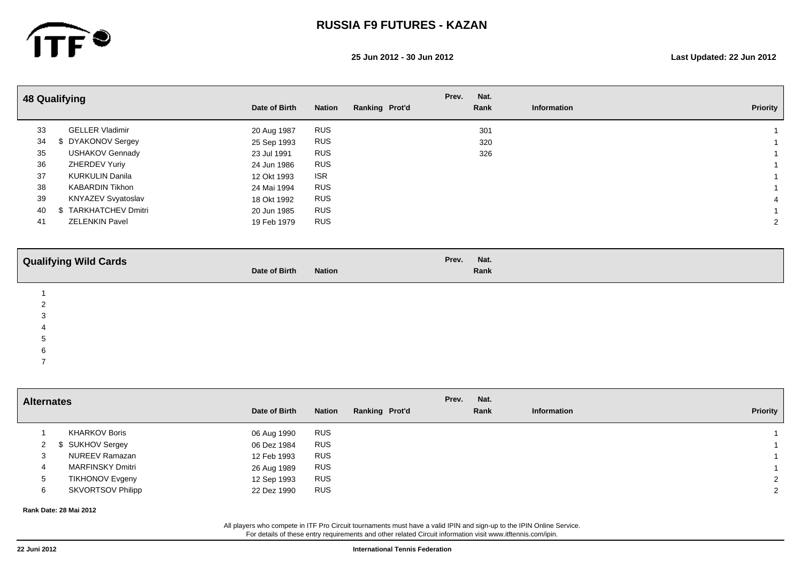

**25 Jun 2012 - 30 Jun 2012 Last Updated: 22 Jun 2012**

|    | <b>48 Qualifying</b>   |               |               |                | Prev. | Nat. |             |                 |
|----|------------------------|---------------|---------------|----------------|-------|------|-------------|-----------------|
|    |                        | Date of Birth | <b>Nation</b> | Ranking Prot'd |       | Rank | Information | <b>Priority</b> |
| 33 | <b>GELLER Vladimir</b> | 20 Aug 1987   | RUS           |                |       | 301  |             |                 |
| 34 | DYAKONOV Sergey        | 25 Sep 1993   | <b>RUS</b>    |                |       | 320  |             |                 |
| 35 | <b>USHAKOV Gennady</b> | 23 Jul 1991   | <b>RUS</b>    |                |       | 326  |             |                 |
| 36 | ZHERDEV Yuriy          | 24 Jun 1986   | <b>RUS</b>    |                |       |      |             |                 |
| 37 | <b>KURKULIN Danila</b> | 12 Okt 1993   | <b>ISR</b>    |                |       |      |             |                 |
| 38 | <b>KABARDIN Tikhon</b> | 24 Mai 1994   | <b>RUS</b>    |                |       |      |             |                 |
| 39 | KNYAZEV Svyatoslav     | 18 Okt 1992   | <b>RUS</b>    |                |       |      |             |                 |
| 40 | TARKHATCHEV Dmitri     | 20 Jun 1985   | <b>RUS</b>    |                |       |      |             |                 |
| 41 | <b>ZELENKIN Pavel</b>  | 19 Feb 1979   | <b>RUS</b>    |                |       |      |             |                 |
|    |                        |               |               |                |       |      |             |                 |

| <b>Qualifying Wild Cards</b> | Date of Birth | <b>Nation</b> | Prev. Nat. | Rank |
|------------------------------|---------------|---------------|------------|------|
|                              |               |               |            |      |
|                              |               |               |            |      |

3

4

 $5<sub>5</sub>$ 6

7

**Alternates Date of Birth Nation Ranking Prot'd Information Priority Nat. Information Prev.** 1 KHARKOV Boris 06 Aug 1990 RUS 1 2 \$ SUKHOV Sergey 06 Dez 1984 RUS 1 3 NUREEV Ramazan 12 Feb 1993 RUS 1 4 MARFINSKY Dmitri 26 Aug 1989 RUS 1 5 TIKHONOV Evgeny 12 Sep 1993 RUS 2 6 SKVORTSOV Philipp 22 Dez 1990 RUS 2

**Rank Date: 28 Mai 2012**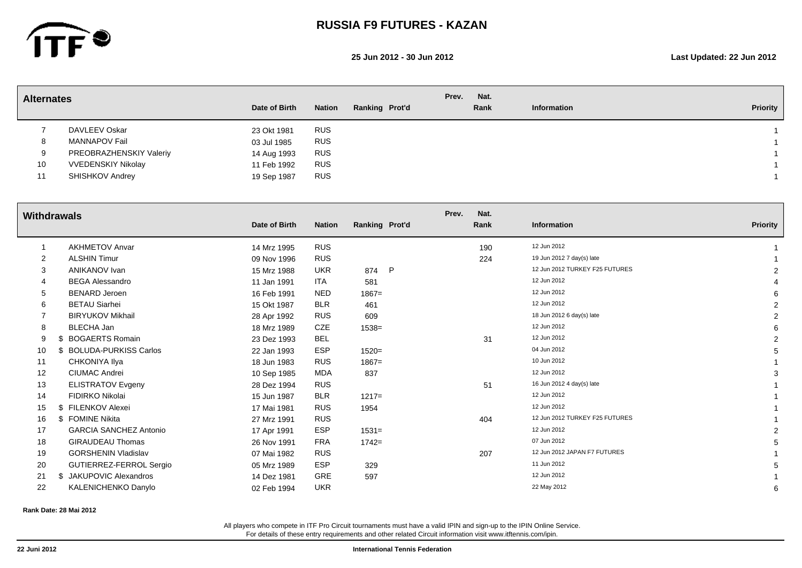

#### **25 Jun 2012 - 30 Jun 2012 Last Updated: 22 Jun 2012**

| <b>Alternates</b> |                           |               |               |                | Prev. | Nat. |             |          |
|-------------------|---------------------------|---------------|---------------|----------------|-------|------|-------------|----------|
|                   |                           | Date of Birth | <b>Nation</b> | Ranking Prot'd |       | Rank | Information | Priority |
|                   | DAVLEEV Oskar             | 23 Okt 1981   | <b>RUS</b>    |                |       |      |             |          |
| 8                 | MANNAPOV Fail             | 03 Jul 1985   | <b>RUS</b>    |                |       |      |             |          |
| 9                 | PREOBRAZHENSKIY Valeriy   | 14 Aug 1993   | <b>RUS</b>    |                |       |      |             |          |
| 10                | <b>VVEDENSKIY Nikolay</b> | 11 Feb 1992   | <b>RUS</b>    |                |       |      |             |          |
| 11                | SHISHKOV Andrey           | 19 Sep 1987   | <b>RUS</b>    |                |       |      |             |          |
|                   |                           |               |               |                |       |      |             |          |

| <b>Withdrawals</b> |                               |               |               |                | Prev.<br>Nat. |                                |                 |
|--------------------|-------------------------------|---------------|---------------|----------------|---------------|--------------------------------|-----------------|
|                    |                               | Date of Birth | <b>Nation</b> | Ranking Prot'd | Rank          | Information                    | <b>Priority</b> |
|                    | <b>AKHMETOV Anvar</b>         | 14 Mrz 1995   | <b>RUS</b>    |                | 190           | 12 Jun 2012                    |                 |
| $\overline{2}$     | <b>ALSHIN Timur</b>           | 09 Nov 1996   | <b>RUS</b>    |                | 224           | 19 Jun 2012 7 day(s) late      |                 |
| 3                  | <b>ANIKANOV Ivan</b>          | 15 Mrz 1988   | <b>UKR</b>    | P<br>874       |               | 12 Jun 2012 TURKEY F25 FUTURES |                 |
|                    | <b>BEGA Alessandro</b>        | 11 Jan 1991   | ITA           | 581            |               | 12 Jun 2012                    |                 |
| 5                  | <b>BENARD Jeroen</b>          | 16 Feb 1991   | <b>NED</b>    | $1867 =$       |               | 12 Jun 2012                    |                 |
| 6                  | <b>BETAU Siarhei</b>          | 15 Okt 1987   | <b>BLR</b>    | 461            |               | 12 Jun 2012                    | 2               |
|                    | <b>BIRYUKOV Mikhail</b>       | 28 Apr 1992   | <b>RUS</b>    | 609            |               | 18 Jun 2012 6 day(s) late      | 2               |
| 8                  | <b>BLECHA Jan</b>             | 18 Mrz 1989   | CZE           | $1538 =$       |               | 12 Jun 2012                    |                 |
| 9                  | <b>BOGAERTS Romain</b>        | 23 Dez 1993   | <b>BEL</b>    |                | 31            | 12 Jun 2012                    | $\overline{2}$  |
| 10                 | <b>BOLUDA-PURKISS Carlos</b>  | 22 Jan 1993   | ESP           | $1520 =$       |               | 04 Jun 2012                    |                 |
| 11                 | CHKONIYA Ilya                 | 18 Jun 1983   | <b>RUS</b>    | $1867 =$       |               | 10 Jun 2012                    |                 |
| 12                 | <b>CIUMAC Andrei</b>          | 10 Sep 1985   | MDA           | 837            |               | 12 Jun 2012                    |                 |
| 13                 | <b>ELISTRATOV Evgeny</b>      | 28 Dez 1994   | <b>RUS</b>    |                | 51            | 16 Jun 2012 4 day(s) late      |                 |
| 14                 | FIDIRKO Nikolai               | 15 Jun 1987   | <b>BLR</b>    | $1217=$        |               | 12 Jun 2012                    |                 |
| 15                 | \$ FILENKOV Alexei            | 17 Mai 1981   | <b>RUS</b>    | 1954           |               | 12 Jun 2012                    |                 |
| 16                 | \$ FOMINE Nikita              | 27 Mrz 1991   | <b>RUS</b>    |                | 404           | 12 Jun 2012 TURKEY F25 FUTURES |                 |
| 17                 | <b>GARCIA SANCHEZ Antonio</b> | 17 Apr 1991   | <b>ESP</b>    | $1531 =$       |               | 12 Jun 2012                    | 2               |
| 18                 | <b>GIRAUDEAU Thomas</b>       | 26 Nov 1991   | <b>FRA</b>    | $1742 =$       |               | 07 Jun 2012                    |                 |
| 19                 | <b>GORSHENIN Vladislav</b>    | 07 Mai 1982   | <b>RUS</b>    |                | 207           | 12 Jun 2012 JAPAN F7 FUTURES   |                 |
| 20                 | GUTIERREZ-FERROL Sergio       | 05 Mrz 1989   | <b>ESP</b>    | 329            |               | 11 Jun 2012                    |                 |
| 21                 | \$ JAKUPOVIC Alexandros       | 14 Dez 1981   | <b>GRE</b>    | 597            |               | 12 Jun 2012                    |                 |
| 22                 | KALENICHENKO Danylo           | 02 Feb 1994   | <b>UKR</b>    |                |               | 22 May 2012                    |                 |
|                    |                               |               |               |                |               |                                |                 |

**Rank Date: 28 Mai 2012**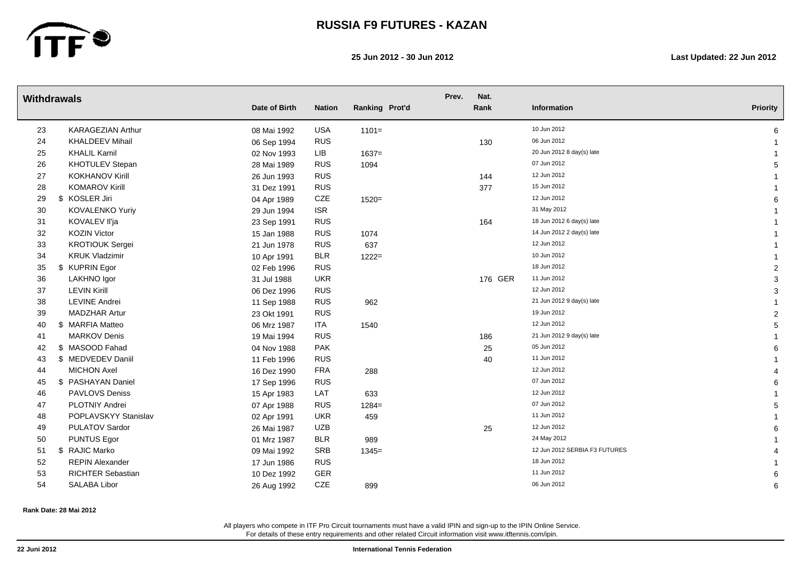

**25 Jun 2012 - 30 Jun 2012 Last Updated: 22 Jun 2012**

|    | <b>Withdrawals</b>       | Date of Birth | <b>Nation</b> | Ranking Prot'd | Prev. | Nat.<br>Rank | Information                   | <b>Priority</b> |
|----|--------------------------|---------------|---------------|----------------|-------|--------------|-------------------------------|-----------------|
|    |                          |               |               |                |       |              |                               |                 |
| 23 | <b>KARAGEZIAN Arthur</b> | 08 Mai 1992   | <b>USA</b>    | $1101 =$       |       |              | 10 Jun 2012                   | 6               |
| 24 | <b>KHALDEEV Mihail</b>   | 06 Sep 1994   | <b>RUS</b>    |                |       | 130          | 06 Jun 2012                   |                 |
| 25 | <b>KHALIL Kamil</b>      | 02 Nov 1993   | LIB           | $1637=$        |       |              | 20 Jun 2012 8 day(s) late     |                 |
| 26 | KHOTULEV Stepan          | 28 Mai 1989   | <b>RUS</b>    | 1094           |       |              | 07 Jun 2012                   | 5               |
| 27 | <b>KOKHANOV Kirill</b>   | 26 Jun 1993   | <b>RUS</b>    |                |       | 144          | 12 Jun 2012                   |                 |
| 28 | <b>KOMAROV Kirill</b>    | 31 Dez 1991   | <b>RUS</b>    |                |       | 377          | 15 Jun 2012                   |                 |
| 29 | \$ KOSLER Jiri           | 04 Apr 1989   | CZE           | $1520 =$       |       |              | 12 Jun 2012                   |                 |
| 30 | KOVALENKO Yuriy          | 29 Jun 1994   | <b>ISR</b>    |                |       |              | 31 May 2012                   |                 |
| 31 | KOVALEV II'ja            | 23 Sep 1991   | <b>RUS</b>    |                |       | 164          | 18 Jun 2012 6 day(s) late     |                 |
| 32 | <b>KOZIN Victor</b>      | 15 Jan 1988   | <b>RUS</b>    | 1074           |       |              | 14 Jun 2012 2 day(s) late     |                 |
| 33 | <b>KROTIOUK Sergei</b>   | 21 Jun 1978   | <b>RUS</b>    | 637            |       |              | 12 Jun 2012                   |                 |
| 34 | <b>KRUK Vladzimir</b>    | 10 Apr 1991   | <b>BLR</b>    | $1222 =$       |       |              | 10 Jun 2012                   |                 |
| 35 | <b>KUPRIN Egor</b><br>\$ | 02 Feb 1996   | <b>RUS</b>    |                |       |              | 18 Jun 2012                   | 2               |
| 36 | LAKHNO Igor              | 31 Jul 1988   | <b>UKR</b>    |                |       | 176 GER      | 11 Jun 2012                   | 3               |
| 37 | <b>LEVIN Kirill</b>      | 06 Dez 1996   | <b>RUS</b>    |                |       |              | 12 Jun 2012                   | 3               |
| 38 | <b>LEVINE Andrei</b>     | 11 Sep 1988   | <b>RUS</b>    | 962            |       |              | 21 Jun 2012 9 day(s) late     |                 |
| 39 | <b>MADZHAR Artur</b>     | 23 Okt 1991   | <b>RUS</b>    |                |       |              | 19 Jun 2012                   | 2               |
| 40 | \$ MARFIA Matteo         | 06 Mrz 1987   | <b>ITA</b>    | 1540           |       |              | 12 Jun 2012                   | 5               |
| 41 | <b>MARKOV Denis</b>      | 19 Mai 1994   | <b>RUS</b>    |                |       | 186          | 21 Jun 2012 9 day(s) late     |                 |
| 42 | \$ MASOOD Fahad          | 04 Nov 1988   | <b>PAK</b>    |                |       | 25           | 05 Jun 2012                   | 6               |
| 43 | \$ MEDVEDEV Daniil       | 11 Feb 1996   | <b>RUS</b>    |                |       | 40           | 11 Jun 2012                   |                 |
| 44 | <b>MICHON Axel</b>       | 16 Dez 1990   | <b>FRA</b>    | 288            |       |              | 12 Jun 2012                   |                 |
| 45 | \$ PASHAYAN Daniel       | 17 Sep 1996   | <b>RUS</b>    |                |       |              | 07 Jun 2012                   | 6               |
| 46 | <b>PAVLOVS Deniss</b>    | 15 Apr 1983   | LAT           | 633            |       |              | 12 Jun 2012                   |                 |
| 47 | <b>PLOTNIY Andrei</b>    | 07 Apr 1988   | <b>RUS</b>    | $1284=$        |       |              | 07 Jun 2012                   | 5               |
| 48 | POPLAVSKYY Stanislav     | 02 Apr 1991   | <b>UKR</b>    | 459            |       |              | 11 Jun 2012                   |                 |
| 49 | PULATOV Sardor           | 26 Mai 1987   | <b>UZB</b>    |                |       | 25           | 12 Jun 2012                   |                 |
| 50 | <b>PUNTUS Egor</b>       | 01 Mrz 1987   | <b>BLR</b>    | 989            |       |              | 24 May 2012                   |                 |
| 51 | <b>RAJIC Marko</b><br>\$ | 09 Mai 1992   | <b>SRB</b>    | $1345=$        |       |              | 12 Jun 2012 SERBIA F3 FUTURES |                 |
| 52 | <b>REPIN Alexander</b>   | 17 Jun 1986   | <b>RUS</b>    |                |       |              | 18 Jun 2012                   |                 |
| 53 | <b>RICHTER Sebastian</b> | 10 Dez 1992   | GER           |                |       |              | 11 Jun 2012                   |                 |
| 54 | <b>SALABA Libor</b>      | 26 Aug 1992   | CZE           | 899            |       |              | 06 Jun 2012                   | 6               |

**Rank Date: 28 Mai 2012**